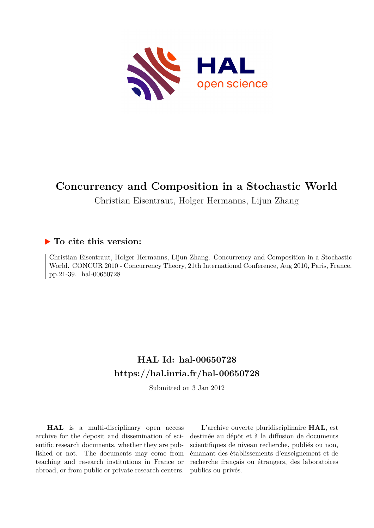

# **Concurrency and Composition in a Stochastic World**

Christian Eisentraut, Holger Hermanns, Lijun Zhang

## **To cite this version:**

Christian Eisentraut, Holger Hermanns, Lijun Zhang. Concurrency and Composition in a Stochastic World. CONCUR 2010 - Concurrency Theory, 21th International Conference, Aug 2010, Paris, France. pp.21-39. hal-00650728

# **HAL Id: hal-00650728 <https://hal.inria.fr/hal-00650728>**

Submitted on 3 Jan 2012

**HAL** is a multi-disciplinary open access archive for the deposit and dissemination of scientific research documents, whether they are published or not. The documents may come from teaching and research institutions in France or abroad, or from public or private research centers.

L'archive ouverte pluridisciplinaire **HAL**, est destinée au dépôt et à la diffusion de documents scientifiques de niveau recherche, publiés ou non, émanant des établissements d'enseignement et de recherche français ou étrangers, des laboratoires publics ou privés.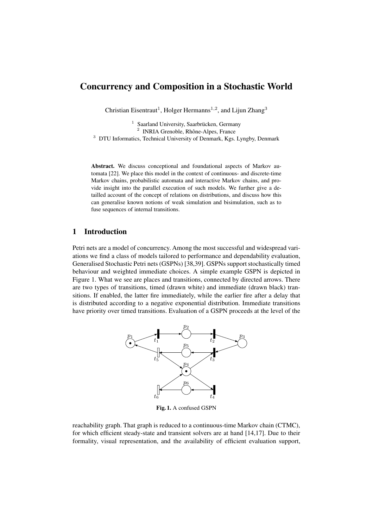# **Concurrency and Composition in a Stochastic World**

Christian Eisentraut<sup>1</sup>, Holger Hermanns<sup>1,2</sup>, and Lijun Zhang<sup>3</sup>

 $1$  Saarland University, Saarbrücken, Germany <sup>2</sup> INRIA Grenoble, Rhône-Alpes, France <sup>3</sup> DTU Informatics, Technical University of Denmark, Kgs. Lyngby, Denmark

**Abstract.** We discuss conceptional and foundational aspects of Markov automata [22]. We place this model in the context of continuous- and discrete-time Markov chains, probabilistic automata and interactive Markov chains, and provide insight into the parallel execution of such models. We further give a detailled account of the concept of relations on distributions, and discuss how this can generalise known notions of weak simulation and bisimulation, such as to fuse sequences of internal transitions.

## **1 Introduction**

Petri nets are a model of concurrency. Among the most successful and widespread variations we find a class of models tailored to performance and dependability evaluation, Generalised Stochastic Petri nets (GSPNs) [38,39]. GSPNs support stochastically timed behaviour and weighted immediate choices. A simple example GSPN is depicted in Figure 1. What we see are places and transitions, connected by directed arrows. There are two types of transitions, timed (drawn white) and immediate (drawn black) transitions. If enabled, the latter fire immediately, while the earlier fire after a delay that is distributed according to a negative exponential distribution. Immediate transitions have priority over timed transitions. Evaluation of a GSPN proceeds at the level of the



**Fig. 1.** A confused GSPN

reachability graph. That graph is reduced to a continuous-time Markov chain (CTMC), for which efficient steady-state and transient solvers are at hand [14,17]. Due to their formality, visual representation, and the availability of efficient evaluation support,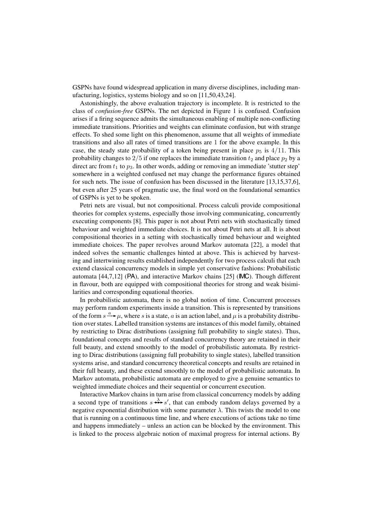GSPNs have found widespread application in many diverse disciplines, including manufacturing, logistics, systems biology and so on [11,50,43,24].

Astonishingly, the above evaluation trajectory is incomplete. It is restricted to the class of *confusion-free* GSPNs. The net depicted in Figure 1 is confused. Confusion arises if a firing sequence admits the simultaneous enabling of multiple non-conflicting immediate transitions. Priorities and weights can eliminate confusion, but with strange effects. To shed some light on this phenomenon, assume that all weights of immediate transitions and also all rates of timed transitions are 1 for the above example. In this case, the steady state probability of a token being present in place  $p_5$  is  $4/11$ . This probability changes to 2/5 if one replaces the immediate transition  $t_2$  and place  $p_2$  by a direct arc from  $t_1$  to  $p_3$ . In other words, adding or removing an immediate 'stutter step' somewhere in a weighted confused net may change the performance figures obtained for such nets. The issue of confusion has been discussed in the literature [13,15,37,6], but even after 25 years of pragmatic use, the final word on the foundational semantics of GSPNs is yet to be spoken.

Petri nets are visual, but not compositional. Process calculi provide compositional theories for complex systems, especially those involving communicating, concurrently executing components [8]. This paper is not about Petri nets with stochastically timed behaviour and weighted immediate choices. It is not about Petri nets at all. It is about compositional theories in a setting with stochastically timed behaviour and weighted immediate choices. The paper revolves around Markov automata [22], a model that indeed solves the semantic challenges hinted at above. This is achieved by harvesting and intertwining results established independently for two process calculi that each extend classical concurrency models in simple yet conservative fashions: Probabilistic automata [44,7,12] (PA), and interactive Markov chains [25] (IMC). Though different in flavour, both are equipped with compositional theories for strong and weak bisimilarities and corresponding equational theories.

In probabilistic automata, there is no global notion of time. Concurrent processes may perform random experiments inside a transition. This is represented by transitions of the form  $s \xrightarrow{a} \mu$ , where s is a state, a is an action label, and  $\mu$  is a probability distribution over states. Labelled transition systems are instances of this model family, obtained by restricting to Dirac distributions (assigning full probability to single states). Thus, foundational concepts and results of standard concurrency theory are retained in their full beauty, and extend smoothly to the model of probabilistic automata. By restricting to Dirac distributions (assigning full probability to single states), labelled transition systems arise, and standard concurrency theoretical concepts and results are retained in their full beauty, and these extend smoothly to the model of probabilistic automata. In Markov automata, probabilistic automata are employed to give a genuine semantics to weighted immediate choices and their sequential or concurrent execution.

Interactive Markov chains in turn arise from classical concurrency models by adding a second type of transitions  $s \leftrightarrow s'$ , that can embody random delays governed by a negative exponential distribution with some parameter  $\lambda$ . This twists the model to one that is running on a continuous time line, and where executions of actions take no time and happens immediately – unless an action can be blocked by the environment. This is linked to the process algebraic notion of maximal progress for internal actions. By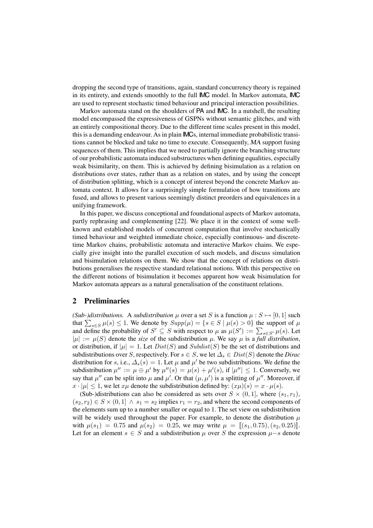dropping the second type of transitions, again, standard concurrency theory is regained in its entirety, and extends smoothly to the full IMC model. In Markov automata, IMC are used to represent stochastic timed behaviour and principal interaction possibilities.

Markov automata stand on the shoulders of PA and IMC. In a nutshell, the resulting model encompassed the expressiveness of GSPNs without semantic glitches, and with an entirely compositional theory. Due to the different time scales present in this model, this is a demanding endeavour. As in plain IMCs, internal immediate probabilistic transitions cannot be blocked and take no time to execute. Consequently, MA support fusing sequences of them. This implies that we need to partially ignore the branching structure of our probabilistic automata induced substructures when defining equalities, especially weak bisimilarity, on them. This is achieved by defining bisimulation as a relation on distributions over states, rather than as a relation on states, and by using the concept of distribution splitting, which is a concept of interest beyond the concrete Markov automata context. It allows for a surprisingly simple formulation of how transitions are fused, and allows to present various seemingly distinct preorders and equivalences in a unifying framework.

In this paper, we discuss conceptional and foundational aspects of Markov automata, partly rephrasing and complementing [22]. We place it in the context of some wellknown and established models of concurrent computation that involve stochastically timed behaviour and weighted immediate choice, especially continuous- and discretetime Markov chains, probabilistic automata and interactive Markov chains. We especially give insight into the parallel execution of such models, and discuss simulation and bisimulation relations on them. We show that the concept of relations on distributions generalises the respective standard relational notions. With this perspective on the different notions of bisimulation it becomes apparent how weak bisimulation for Markov automata appears as a natural generalisation of the constituent relations.

### **2 Preliminaries**

*(Sub-)distributions.* A *subdistribution*  $\mu$  over a set S is a function  $\mu : S \mapsto [0,1]$  such that  $\sum_{s \in S} \mu(s) \leq 1$ . We denote by  $Supp(\mu) = \{s \in S \mid \mu(s) > 0\}$  the support of  $\mu$ <br>and define the probability of  $S' \subseteq S$  with respect to  $\mu$  as  $\mu(S') := \sum_{s \in S} \mu(s)$ . Let and define the probability of  $S' \subseteq S$  with respect to  $\mu$  as  $\mu(S') := \sum_{s \in S'} \mu(s)$ . Let  $|\mu| := \mu(S)$  denote the *size* of the subdistribution  $\mu$ . We say  $\mu$  is a *full distribution*, or distribution, if  $|\mu| = 1$ . Let  $Dist(S)$  and  $Subdist(S)$  be the set of distributions and subdistributions over S, respectively. For  $s \in S$ , we let  $\Delta_s \in Dist(S)$  denote the *Dirac* distribution for s, i.e.,  $\Delta_s(s) = 1$ . Let  $\mu$  and  $\mu'$  be two subdistributions. We define the subdistribution  $\mu'':=\mu\oplus\mu'$  by  $\mu''(s)=\mu(s)+\mu'(s)$ , if  $|\mu''|\leq 1$ . Conversely, we say that  $\mu''$  can be split into  $\mu$  and  $\mu'$ . Or that  $(\mu, \mu')$  is a splitting of  $\mu''$ . Moreover, if  $x \cdot |\mu| \leq 1$ , we let  $x\mu$  denote the subdistribution defined by:  $(x\mu)(s) = x \cdot \mu(s)$ .

(Sub-)distributions can also be considered as sets over  $S \times (0, 1]$ , where  $(s_1, r_1)$ ,  $(s_2, r_2) \in S \times (0, 1] \wedge s_1 = s_2$  implies  $r_1 = r_2$ , and where the second components of the elements sum up to a number smaller or equal to 1. The set view on subdistribution will be widely used throughout the paper. For example, to denote the distribution  $\mu$ with  $\mu(s_1) = 0.75$  and  $\mu(s_2) = 0.25$ , we may write  $\mu = [[(s_1, 0.75), (s_2, 0.25)]]$ . Let for an element  $s \in S$  and a subdistribution  $\mu$  over S the expression  $\mu-s$  denote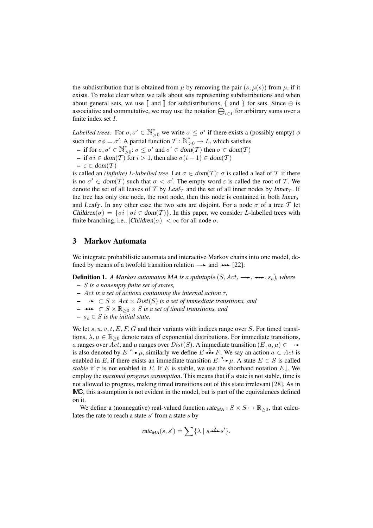the subdistribution that is obtained from  $\mu$  by removing the pair  $(s, \mu(s))$  from  $\mu$ , if it exists. To make clear when we talk about sets representing subdistributions and when about general sets, we use  $\llbracket$  and  $\rrbracket$  for subdistributions,  $\{$  and  $\}$  for sets. Since  $\oplus$  is associative and commutative, we may use the notation  $\bigoplus_{i \in I}$  for arbitrary sums over a finite index set I finite index set I.

*Labelled trees.* For  $\sigma, \sigma' \in \mathbb{N}_{>0}^*$  we write  $\sigma \leq \sigma'$  if there exists a (possibly empty)  $\phi$ such that  $\sigma \phi = \sigma'$ . A partial function  $T : \mathbb{N}_{>0}^* \to L$ , which satisfies<br>if for  $\sigma \propto \mathbb{N}^*$ ,  $\sigma \leq \sigma'$  and  $\sigma' \in \text{dom}(\mathcal{T})$ , then  $\sigma \in \text{dom}(\mathcal{T})$ .

- **–** if for  $\sigma, \sigma' \in \mathbb{N}_{>0}^*$ ;  $\sigma \leq \sigma'$  and  $\sigma' \in dom(T)$  then  $\sigma \in dom(T)$ <br>if  $\sigma_i \subset dom(T)$  for  $i > 1$ , then also  $\sigma(i-1) \subset dom(T)$
- **–** if  $\sigma i \in \text{dom}(\mathcal{T})$  for  $i > 1$ , then also  $\sigma(i 1) \in \text{dom}(\mathcal{T})$
- $-\varepsilon \in \text{dom}(\mathcal{T})$

is called an *(infinite)* L-labelled tree. Let  $\sigma \in dom(T)$ :  $\sigma$  is called a leaf of T if there is no  $\sigma' \in \text{dom}(\mathcal{T})$  such that  $\sigma < \sigma'$ . The empty word  $\varepsilon$  is called the root of  $\mathcal{T}$ . We denote the set of all leaves of T by Leaf<sub>T</sub> and the set of all inner nodes by Inner $\tau$ . If the tree has only one node, the root node, then this node is contained in both Inner and Leaf<sub>T</sub>. In any other case the two sets are disjoint. For a node  $\sigma$  of a tree T let Children( $\sigma$ ) = { $\sigma i \mid \sigma i \in \text{dom}(\mathcal{T})$ }. In this paper, we consider L-labelled trees with finite branching, i.e.,  $|Children(\sigma)| < \infty$  for all node  $\sigma$ .

#### **3 Markov Automata**

We integrate probabilistic automata and interactive Markov chains into one model, defined by means of a twofold transition relation  $\rightarrow$  and  $\rightarrow$  [22]:

**Definition 1.** *A Markov automaton MA is a quintuple*  $(S, Act, \rightarrow, \rightarrow, \rightarrow, s_o)$ *, where* 

- **–** S *is a nonempty finite set of states,*
- **–** Act *is a set of actions containing the internal action* τ*,*
- **–** ⊂ S × Act × Dist(S) *is a set of immediate transitions, and*
- **−**  $\rightarrow \rightarrow \rightarrow \quad$   $\subset S \times \mathbb{R}_{\geq 0} \times S$  *is a set of timed transitions, and*
- $s<sub>o</sub> \in S$  *is the initial state.*

We let s,  $u, v, t, E, F, G$  and their variants with indices range over S. For timed transitions,  $\lambda, \mu \in \mathbb{R}_{\geq 0}$  denote rates of exponential distributions. For immediate transitions, a ranges over  $\overline{Act}$ , and  $\mu$  ranges over  $Dist(S)$ . A immediate transition  $(E, a, \mu) \in$ is also denoted by  $E \xrightarrow{a} \mu$ , similarly we define  $E \xrightarrow{\lambda} F$ . We say an action  $a \in Act$  is enabled in E, if there exists an immediate transition  $E \xrightarrow{a} \mu$ . A state  $E \in S$  is called *stable* if  $\tau$  is not enabled in E. If E is stable, we use the shorthand notation E $\downarrow$ . We employ the *maximal progress assumption*. This means that if a state is not stable, time is not allowed to progress, making timed transitions out of this state irrelevant [28]. As in IMC, this assumption is not evident in the model, but is part of the equivalences defined on it.

We define a (nonnegative) real-valued function  $rate_{MA}$ :  $S \times S \mapsto \mathbb{R}_{\geq 0}$ , that calculates the rate to reach a state  $s'$  from a state  $s$  by

rate<sub>MA</sub>
$$
(s, s')
$$
 =  $\sum {\lambda | s \stackrel{\lambda}{\leftrightarrow} s'}$ .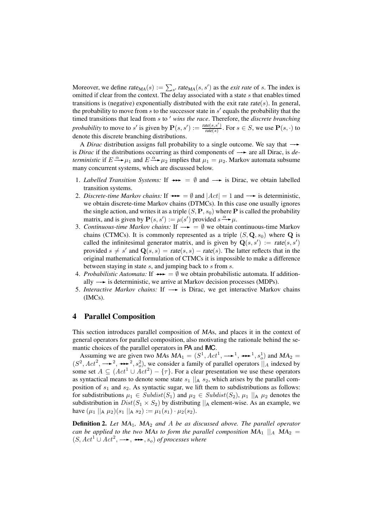Moreover, we define rate<sub>MA</sub> $(s) := \sum_{s'} rate_{MA}(s, s')$  as the *exit rate* of s. The index is omitted if clear from the context. The delay associated with a state s that enables timed omitted if clear from the context. The delay associated with a state s that enables timed transitions is (negative) exponentially distributed with the exit rate rate(s). In general, the probability to move from  $s$  to the successor state in  $s'$  equals the probability that the timed transitions that lead from s to ' wins the race. Therefore, the *discrete branching* probability to move to s' is given by  $P(s, s') := \frac{\text{rate}(s, s')}{\text{rate}(s)}$ . For  $s \in S$ , we use  $P(s, \cdot)$  to denote this discrete branching distributions. denote this discrete branching distributions.

A *Dirac* distribution assigns full probability to a single outcome. We say that  $\rightarrow$ is *Dirac* if the distributions occurring as third components of  $\rightarrow \bullet$  are all Dirac, is *deterministic* if  $E \xrightarrow{\alpha} \mu_1$  and  $E \xrightarrow{\alpha} \mu_2$  implies that  $\mu_1 = \mu_2$ . Markov automata subsume many concurrent systems, which are discussed below.

- 1. *Labelled Transition Systems:* If  $\rightarrow \rightarrow \emptyset$  and  $\rightarrow \rightarrow$  is Dirac, we obtain labelled transition systems.
- 2. *Discrete-time Markov chains:* If  $\rightarrow \rightarrow \emptyset$  and  $|Act| = 1$  and  $\rightarrow \rightarrow$  is deterministic, we obtain discrete-time Markov chains (DTMCs). In this case one usually ignores the single action, and writes it as a triple  $(S, P, s_0)$  where **P** is called the probability matrix, and is given by  $P(s, s') := \mu(s')$  provided  $s \xrightarrow{\alpha} \mu$ .
- 3. *Continuous-time Markov chains:* If  $\rightarrow \equiv \emptyset$  we obtain continuous-time Markov chains (CTMCs). It is commonly represented as a triple  $(S, \mathbf{Q}, s_0)$  where **Q** is called the infinitesimal generator matrix, and is given by  $Q(s, s') := \text{rate}(s, s')$ provided  $s \neq s'$  and  $\mathbf{Q}(s, s) = \text{rate}(s, s) - \text{rate}(s)$ . The latter reflects that in the original mathematical formulation of CTMCs it is impossible to make a difference between staying in state s, and jumping back to s from s.
- 4. *Probabilistic Automata:* If  $\rightarrow \rightarrow \equiv \emptyset$  we obtain probabilistic automata. If additionally  $\rightarrow \rightarrow$  is deterministic, we arrive at Markov decision processes (MDPs).
- 5. *Interactive Markov chains:* If  $\rightarrow$  is Dirac, we get interactive Markov chains (IMCs).

#### **4 Parallel Composition**

This section introduces parallel composition of MAs, and places it in the context of general operators for parallel composition, also motivating the rationale behind the semantic choices of the parallel operators in PA and IMC.

Assuming we are given two MAs  $MA_1 = (S^1, Act^1, \longrightarrow^1, \longrightarrow^1, s_0^1)$  and  $MA_2 =$ <br>  $Act^2 = S^2$  and  $Act^2$  and  $Act^2$  and  $Act^2$  and  $Act^2$  and  $Act^2$  and  $Act^2$  and  $Act^2$  and  $Act^2$  and  $Act^2$  and  $Act^2$  and  $Act^2$  and  $Act^2$  and  $(S^2, Act^2, \longrightarrow^2, \longrightarrow^2, s_o^2)$ , we consider a family of parallel operators  $||_A$  indexed by<br>some set  $A \subset (Act^1 \cup Act^2) - \{x\}$ . For a clear presentation we use these operators some set  $A \subseteq (Act^1 \cup Act^2) - \{\tau\}$ . For a clear presentation we use these operators as syntactical means to denote some state  $s_1$   $||_A s_2$ , which arises by the parallel composition of  $s_1$  and  $s_2$ . As syntactic sugar, we lift them to subdistributions as follows: for subdistributions  $\mu_1 \in Subdist(S_1)$  and  $\mu_2 \in Subdist(S_2)$ ,  $\mu_1 ||_A \mu_2$  denotes the subdistribution in  $Dist(S_1 \times S_2)$  by distributing  $||_A$  element-wise. As an example, we have  $(\mu_1 || A \mu_2)(s_1 || A \nvert s_2) := \mu_1(s_1) \cdot \mu_2(s_2)$ .

**Definition 2.** *Let*  $MA_1$ ,  $MA_2$  *and A be as discussed above. The parallel operator can be applied to the two MAs to form the parallel composition*  $MA_1$   $||_A$   $MA_2$  =  $(S, Act^1 \cup Act^2, \longrightarrow, \longrightarrow, \mathcal{S}_o)$  *of processes where*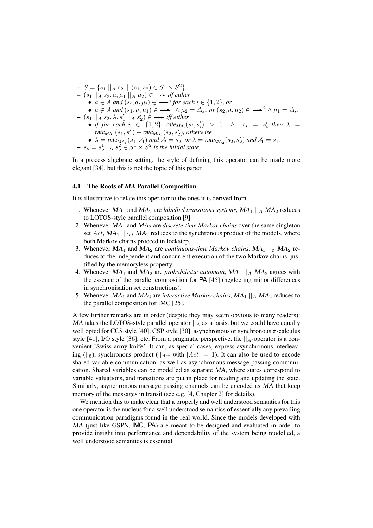$$
S = \{s_1 \mid |A \ s_2| \ (s_1, s_2) \in S^1 \times S^2\},
$$
  
\n- (s<sub>1</sub> ||<sub>A</sub> s<sub>2</sub>, a, μ<sub>1</sub> ||<sub>A</sub> μ<sub>2</sub>) ∈ →~~•~~ *iff either*  
\n• a ∈ A *and* (s<sub>i</sub>, a, μ<sub>i</sub>) ∈ →<sup>•</sup> *for each i* ∈ {1, 2}, *or*  
\n• a ∉ A *and* (s<sub>i</sub>, a, μ<sub>1</sub>) ∈ →<sup>•</sup> *for each i* ∈ {1, 2}, *or*  
\n- (s<sub>1</sub> ||<sub>A</sub> s<sub>2</sub>, λ, s'<sub>1</sub> ||<sub>A</sub> s'<sub>2</sub>) ∈ →<sup>•</sup> *iff either*  
\n• *if for each i* ∈ {1, 2}, *rate*<sub>MA<sub>i</sub></sub>(s<sub>i</sub>, s'<sub>i</sub>) > 0 ∧ s<sub>i</sub> = s'<sub>i</sub> *then* λ =  
\n*rate*<sub>MA<sub>1</sub></sub>(s<sub>1</sub>, s'<sub>1</sub>) + *rate*<sub>MA<sub>2</sub></sub>(s<sub>2</sub>, s'<sub>2</sub>), *otherwise*  
\n• λ = *rate*<sub>MA<sub>1</sub></sub>(s<sub>1</sub>, s'<sub>1</sub>) *and* s'<sub>2</sub> = s<sub>2</sub>, *or* λ = *rate*<sub>MA<sub>2</sub></sub>(s<sub>2</sub>, s'<sub>2</sub>) *and* s'<sub>1</sub> = s<sub>1</sub>,  
\n- s<sub>o</sub> = s<sub>o</sub><sup>1</sup> ||<sub>A</sub> s<sub>o</sub><sup>2</sup> ∈ S<sup>1</sup> × S<sup>2</sup> *is the initial state.*

In a process algebraic setting, the style of defining this operator can be made more elegant [34], but this is not the topic of this paper.

#### **4.1 The Roots of MA Parallel Composition**

It is illustrative to relate this operator to the ones it is derived from.

- 1. Whenever  $MA_1$  and  $MA_2$  are *labelled transitions systems*,  $MA_1 ||_A MA_2$  reduces to LOTOS-style parallel composition [9].
- 2. Whenever MA<sup>1</sup> and MA<sup>2</sup> are *discrete-time Markov chains* over the same singleton set  $Act$ ,  $MA_1$   $||_{Act}$   $MA_2$  reduces to the synchronous product of the models, where both Markov chains proceed in lockstep.
- 3. Whenever  $MA_1$  and  $MA_2$  are *continuous-time Markov chains*,  $MA_1 ||_{\emptyset} MA_2$  reduces to the independent and concurrent execution of the two Markov chains, justified by the memoryless property.
- 4. Whenever  $MA_1$  and  $MA_2$  are *probabilistic automata*,  $MA_1 ||_A MA_2$  agrees with the essence of the parallel composition for PA [45] (neglecting minor differences in synchronisation set constructions).
- 5. Whenever  $MA_1$  and  $MA_2$  are *interactive Markov chains*,  $MA_1 \parallel_A MA_2$  reduces to the parallel composition for IMC [25].

A few further remarks are in order (despite they may seem obvious to many readers): MA takes the LOTOS-style parallel operator  $||_A$  as a basis, but we could have equally well opted for CCS style [40], CSP style [30], asynchronous or synchronous  $\pi$ -calculus style [41], I/O style [36], etc. From a pragmatic perspective, the  $||_A$ -operator is a convenient 'Swiss army knife'. It can, as special cases, express asynchronous interleaving ( $||_{0}$ ), synchronous product ( $||_{Act}$  with  $|Act| = 1$ ). It can also be used to encode shared variable communication, as well as asynchronous message passing communication. Shared variables can be modelled as separate MA, where states correspond to variable valuations, and transitions are put in place for reading and updating the state. Similarly, asynchronous message passing channels can be encoded as MA that keep memory of the messages in transit (see e.g. [4, Chapter 2] for details).

We mention this to make clear that a properly and well understood semantics for this one operator is the nucleus for a well understood semantics of essentially any prevailing communication paradigms found in the real world. Since the models developed with MA (just like GSPN, IMC, PA) are meant to be designed and evaluated in order to provide insight into performance and dependability of the system being modelled, a well understood semantics is essential.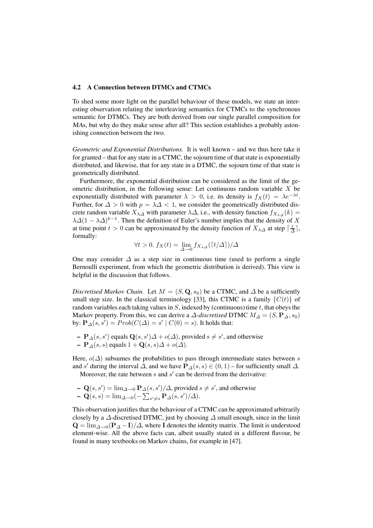#### **4.2 A Connection between DTMCs and CTMCs**

To shed some more light on the parallel behaviour of these models, we state an interesting observation relating the interleaving semantics for CTMCs to the synchronous semantic for DTMCs. They are both derived from our single parallel composition for MAs, but why do they make sense after all? This section establishes a probably astonishing connection between the two.

*Geometric and Exponential Distributions.* It is well known – and we thus here take it for granted – that for any state in a CTMC, the sojourn time of that state is exponentially distributed, and likewise, that for any state in a DTMC, the sojourn time of that state is geometrically distributed.

Furthermore, the exponential distribution can be considered as the limit of the geometric distribution, in the following sense: Let continuous random variable  $X$  be exponentially distributed with parameter  $\lambda > 0$ , i.e. its density is  $f_X(t) = \lambda e^{-\lambda t}$ . Further, for  $\Delta > 0$  with  $p = \lambda \Delta < 1$ , we consider the geometrically distributed discrete random variable  $X_{\lambda\Delta}$  with parameter  $\lambda\Delta$ , i.e., with density function  $f_{X_{\lambda\Delta}}(k)$  =  $\lambda\Delta(1-\lambda\Delta)^{k-1}$ . Then the definition of Euler's number implies that the density of X at time point  $t > 0$  can be approximated by the density function of  $X_{\lambda\Delta}$  at step  $\lceil \frac{t}{\Delta} \rceil$ , formally: formally:

$$
\forall t > 0. \ f_X(t) = \lim_{\Delta \to 0} f_{X_{\lambda \Delta}}([\tau/\Delta])/\Delta
$$

One may consider  $\Delta$  as a step size in continuous time (used to perform a single Bernoulli experiment, from which the geometric distribution is derived). This view is helpful in the discussion that follows.

*Discretised Markov Chain.* Let  $M = (S, \mathbf{Q}, s_0)$  be a CTMC, and  $\Delta$  be a sufficiently small step size. In the classical terminology [33], this CTMC is a family  $\{C(t)\}\$  of random variables each taking values in  $S$ , indexed by (continuous) time t, that obeys the Markov property. From this, we can derive a  $\triangle$ -discretised DTMC  $M_{\triangle} = (S, \mathbf{P}_{\triangle}, s_0)$ by:  $\mathbf{P}_{\Delta}(s, s') = Prob(C(\Delta) = s' | C(0) = s)$ . It holds that:

 $-$  **P**<sub>Δ</sub>(s, s') equals **Q**(s, s') $\Delta + o(\Delta)$ , provided s  $\neq s'$ , and otherwise  $-$  **P**<sub> $\Delta$ </sub>(s, s) equals  $1 + \mathbf{Q}(s, s)\Delta + o(\Delta)$ .

Here,  $o(\Delta)$  subsumes the probabilities to pass through intermediate states between s and s' during the interval  $\Delta$ , and we have  $\mathbf{P}_{\Delta}(s, s) \in (0, 1)$  – for sufficiently small  $\Delta$ . Moreover, the rate between  $s$  and  $s'$  can be derived from the derivative:

 $\mathbf{Q}(s, s') = \lim_{\Delta \to 0} \mathbf{P}_{\Delta}(s, s')/\Delta$ , provided  $s \neq s'$ , and otherwise

$$
- \mathbf{Q}(s,s) = \lim_{\Delta \to 0} \left( - \sum_{s' \neq s} \mathbf{P}_{\Delta}(s,s')/\Delta \right).
$$

This observation justifies that the behaviour of a CTMC can be approximated arbitrarily closely by a  $\Delta$ -discretised DTMC, just by choosing  $\Delta$  small enough, since in the limit  $\mathbf{Q} = \lim_{\Delta \to 0} (\mathbf{P}_{\Delta} - \mathbf{I})/\Delta$ , where **I** denotes the identity matrix. The limit is understood element-wise. All the above facts can, albeit usually stated in a different flavour, be found in many textbooks on Markov chains, for example in [47].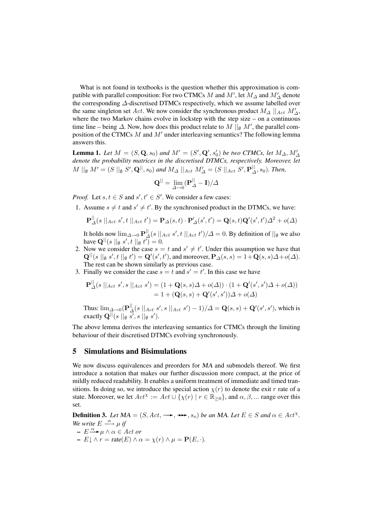What is not found in textbooks is the question whether this approximation is compatible with parallel composition: For two CTMCs M and M', let  $M_{\Delta}$  and  $M'_{\Delta}$  denote the corresponding A-discretized DTMCs respectively, which we assume labelled over the corresponding Δ-discretised DTMCs respectively, which we assume labelled over the same singleton set Act. We now consider the synchronous product  $M_{\Delta} ||_{Act} M'_{\Delta}$ , where the two Markov chains evolve in lockstep with the step size – on a continuous time line – being  $\Delta$ . Now, how does this product relate to  $M \parallel_{\emptyset} M'$ , the parallel composition of the CTMCs  $M$  and  $M'$  under interleaving semantics? The following lemma answers this.

**Lemma 1.** Let  $M = (S, \mathbf{Q}, s_0)$  and  $M' = (S', \mathbf{Q}', s'_0)$  be two CTMCs, let  $M_{\Delta}, M'_{\Delta}$ Δ *denote the probability matrices in the discretised DTMCs, respectively. Moreover, let*  $M \rVert_{\emptyset} M' = (S \rVert_{\emptyset} S', \mathbf{Q}^{\parallel}, s_0)$  and  $M_{\Delta} \rVert_{Act} M'_{\Delta} = (S \rVert_{Act} S', \mathbf{P}^{\parallel}_{\Delta}, s_0)$ . Then,

$$
\mathbf{Q}^{||} = \lim_{\Delta \to 0} (\mathbf{P}_{\Delta}^{||} - \mathbf{I})/\Delta
$$

*Proof.* Let  $s, t \in S$  and  $s', t' \in S'$ . We consider a few cases:

1. Assume  $s \neq t$  and  $s' \neq t'$ . By the synchronised product in the DTMCs, we have:

$$
\mathbf{P}_{\Delta}^{\parallel}(s \mid |_{Act} s', t \mid |_{Act} t') = \mathbf{P}_{\Delta}(s, t) \cdot \mathbf{P}_{\Delta}'(s', t') = \mathbf{Q}(s, t)\mathbf{Q}'(s', t')\Delta^2 + o(\Delta)
$$

It holds now  $\lim_{\Delta\to 0} \mathbf{P}_{\Delta}^{\parallel}(s \parallel_{Act} s', t \parallel_{Act} t')/\Delta = 0$ . By definition of  $||_{\emptyset}$  we also have  $\mathbf{Q}^{||}(s||_{\emptyset} s', t||_{\emptyset} t') = 0.$ 

- 2. Now we consider the case  $s = t$  and  $s' \neq t'$ . Under this assumption we have that  $\mathbf{Q}^{||}(s||_{\emptyset} s', t||_{\emptyset} t') = \mathbf{Q}'(s', t')$ , and moreover,  $\mathbf{P}_{\Delta}(s, s) = 1 + \mathbf{Q}(s, s)\Delta + o(\Delta)$ . The rest can be shown similarly as previous case.
- 3. Finally we consider the case  $s = t$  and  $s' = t'$ . In this case we have

$$
\mathbf{P}_{\Delta}^{\parallel}(s \parallel_{Act} s', s \parallel_{Act} s') = (1 + \mathbf{Q}(s, s)\Delta + o(\Delta)) \cdot (1 + \mathbf{Q}'(s', s')\Delta + o(\Delta))
$$
  
= 1 + ( $\mathbf{Q}(s, s)$  +  $\mathbf{Q}'(s', s')\Delta + o(\Delta)$ 

Thus:  $\lim_{\Delta \to 0} (\mathbf{P}^{\perp}_{\Delta}(s \parallel_{Act} s', s \parallel_{Act} s') - 1)/\Delta = \mathbf{Q}(s, s) + \mathbf{Q}'(s', s')$ , which is exactly  $\mathbf{Q}^{||}(s||_{\emptyset} s', s||_{\emptyset} s').$ 

The above lemma derives the interleaving semantics for CTMCs through the limiting behaviour of their discretised DTMCs evolving synchronously.

#### **5 Simulations and Bisimulations**

We now discuss equivalences and preorders for MA and submodels thereof. We first introduce a notation that makes our further discussion more compact, at the price of mildly reduced readability. It enables a uniform treatment of immediate and timed transitions. In doing so, we introduce the special action  $\chi(r)$  to denote the exit r rate of a state. Moreover, we let  $Act^{\chi} := Act \cup \{\chi(r) \mid r \in \mathbb{R}_{\geq 0}\}\$ , and  $\alpha, \beta, ...$  range over this set.

**Definition 3.** *Let*  $MA = (S, Act, \rightarrow \rightarrow \rightarrow \rightarrow \rightarrow s)$  *be an MA. Let*  $E \in S$  *and*  $\alpha \in Act^{\chi}$ . *We write*  $E \stackrel{\alpha}{\longrightarrow} \mu$  *if*  $E \xrightarrow{\alpha} \mu \wedge \alpha \in \text{Act}$  *or* 

 $\overline{P} = E \cup \overline{P} = \text{rate}(E) \wedge \alpha = \chi(r) \wedge \mu = \mathbf{P}(E, \cdot).$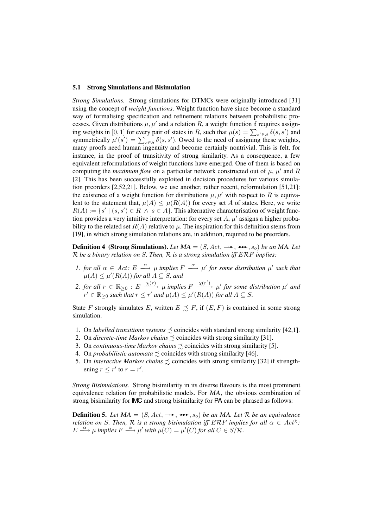#### **5.1 Strong Simulations and Bisimulation**

*Strong Simulations.* Strong simulations for DTMCs were originally introduced [31] using the concept of *weight functions*. Weight function have since become a standard way of formalising specification and refinement relations between probabilistic processes. Given distributions  $\mu, \mu'$  and a relation R, a weight function  $\delta$  requires assigning weights in [0, 1] for every pair of states in R, such that  $\mu(s) = \sum_{s' \in S} \delta(s, s')$  and symmetrically  $\mu'(s') = \sum_{s \in S} \delta(s, s')$  Owed to the need of assigning these weights symmetrically  $\mu'(s') = \sum_{s \in S} \delta(s, s')$ . Owed to the need of assigning these weights,<br>many proofs need buman incensity and become certainly pontrivial. This is felt for many proofs need human ingenuity and become certainly nontrivial. This is felt, for instance, in the proof of transitivity of strong similarity. As a consequence, a few equivalent reformulations of weight functions have emerged. One of them is based on computing the *maximum flow* on a particular network constructed out of  $\mu$ ,  $\mu'$  and R [2]. This has been successfully exploited in decision procedures for various simulation preorders [2,52,21]. Below, we use another, rather recent, reformulation [51,21]: the existence of a weight function for distributions  $\mu, \mu'$  with respect to R is equivalent to the statement that,  $\mu(A) \leq \mu(R(A))$  for every set A of states. Here, we write  $R(A) := \{ s' \mid (s, s') \in R \land s \in A \}.$  This alternative characterisation of weight function provides a very intuitive interpretation: for every set A,  $\mu'$  assigns a higher probability to the related set  $R(A)$  relative to  $\mu$ . The inspiration for this definition stems from [19], in which strong simulation relations are, in addition, required to be preorders.

**Definition 4 (Strong Simulations).** *Let*  $MA = (S, Act, \rightarrow \rightarrow \rightarrow \rightarrow s_o)$  *be an* MA. Let R *be a binary relation on* S*. Then,* R *is a strong simulation iff* ERF *implies:*

- *1. for all*  $\alpha \in Act: E \stackrel{\alpha}{\longrightarrow} \mu$  *implies*  $F \stackrel{\alpha}{\longrightarrow} \mu'$  *for some distribution*  $\mu'$  *such that*  $\mu(A) \leq \mu'(R(A))$  for all  $A \subseteq S$ *, and*
- *2. for all*  $r \in \mathbb{R}_{\geq 0}$  :  $E \xrightarrow{\chi(r)} \mu$  *implies*  $F \xrightarrow{\chi(r')} \mu'$  *for some distribution*  $\mu'$  *and*  $r' \in \mathbb{R}_{\geq 0}$  such that  $r \leq r'$  and  $\mu(A) \leq \mu'(R(A))$  for all  $A \subseteq S$ .

State F strongly simulates E, written  $E \precsim F$ , if  $(E, F)$  is contained in some strong simulation.

- 1. On *labelled transitions systems*  $\precsim$  coincides with standard strong similarity [42,1].
- 2. On *discrete-time Markov chains*  $\precsim$  coincides with strong similarity [31].
- 3. On *continuous-time Markov chains*  $\precsim$  coincides with strong similarity [5].
- 4. On *probabilistic automata*  $\precsim$  coincides with strong similarity [46].
- 5. On *interactive Markov chains*  $\lesssim$  coincides with strong similarity [32] if strengthening  $r \leq r'$  to  $r = r'$ .

*Strong Bisimulations.* Strong bisimilarity in its diverse flavours is the most prominent equivalence relation for probabilistic models. For MA, the obvious combination of strong bisimilarity for IMC and strong bisimilarity for PA can be phrased as follows:

**Definition 5.** Let  $MA = (S, Act, \rightarrow \rightarrow \rightarrow \rightarrow s_o)$  *be an* MA. Let R *be an equivalence relation on* S. Then,  $\mathcal R$  *is a strong bisimulation iff*  $ERF$  *implies for all*  $\alpha \in Act^{\chi}$ *:*  $E \stackrel{\alpha}{\longrightarrow} \mu$  implies  $F \stackrel{\alpha}{\longrightarrow} \mu'$  with  $\mu(C) = \mu'(C)$  for all  $C \in S/R$ .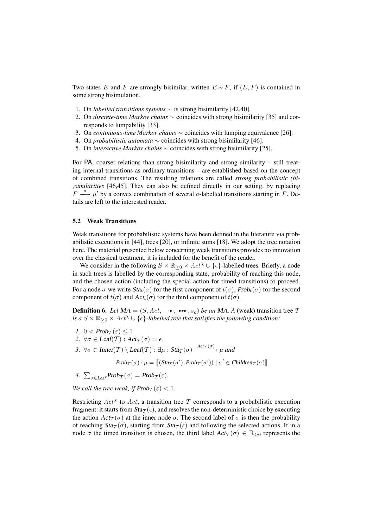Two states E and F are strongly bisimilar, written  $E \sim F$ , if  $(E, F)$  is contained in some strong bisimulation.

- 1. On *labelled transitions systems* ∼ is strong bisimilarity [42,40].
- 2. On *discrete-time Markov chains* ∼ coincides with strong bisimilarity [35] and corresponds to lumpability [33].
- 3. On *continuous-time Markov chains* ∼ coincides with lumping equivalence [26].
- 4. On *probabilistic automata* ∼ coincides with strong bisimilarity [46].
- 5. On *interactive Markov chains* ∼ coincides with strong bisimilarity [25].

For PA, coarser relations than strong bisimilarity and strong similarity – still treating internal transitions as ordinary transitions – are established based on the concept of combined transitions. The resulting relations are called *strong probabilistic (bi- )similarities* [46,45]. They can also be defined directly in our setting, by replacing  $F \stackrel{a}{\longrightarrow} \mu'$  by a convex combination of several a-labelled transitions starting in F. Details are left to the interested reader.

#### **5.2 Weak Transitions**

Weak transitions for probabilistic systems have been defined in the literature via probabilistic executions in [44], trees [20], or infinite sums [18]. We adopt the tree notation here. The material presented below concerning weak transitions provides no innovation over the classical treatment, it is included for the benefit of the reader.

We consider in the following  $S \times \mathbb{R}_{\geq 0} \times \text{Act}^{\chi} \cup \{\epsilon\}$ -labelled trees. Briefly, a node in such trees is labelled by the corresponding state, probability of reaching this node, and the chosen action (including the special action for timed transitions) to proceed. For a node  $\sigma$  we write  $Sta_t(\sigma)$  for the first component of  $t(\sigma)$ ,  $Prob_t(\sigma)$  for the second component of  $t(\sigma)$  and  $Act_t(\sigma)$  for the third component of  $t(\sigma)$ .

**Definition 6.** *Let*  $MA = (S, Act, \rightarrow \rightarrow \rightarrow \rightarrow s_o)$  *be an* MA. A (weak) transition tree T *is a*  $S \times \mathbb{R}_{\geq 0} \times Act^{\chi} \cup \{\epsilon\}$ -labelled tree that satisfies the following condition:

- *1.*  $0 < \text{Prob}_{\mathcal{T}}(\varepsilon) \leq 1$
- 2.  $\forall \sigma \in \text{Leaf}(\mathcal{T}) : \text{Act}_{\mathcal{T}}(\sigma) = \epsilon.$
- 3.  $\forall \sigma \in \text{Inner}(T) \setminus \text{Leaf}(T) : \exists u : \text{Star}(\sigma) \xrightarrow{\text{Act}_{\mathcal{T}}(\sigma)} u$  and

 $Prob_{\mathcal{T}}(\sigma) \cdot \mu = \llbracket (\text{Sta}_{\mathcal{T}}(\sigma'), Prob_{\mathcal{T}}(\sigma')) \mid \sigma' \in \text{Children}_{\mathcal{T}}(\sigma) \rrbracket$ 

4. 
$$
\sum_{\sigma \in \text{Leaf}} \text{Prob}_{\mathcal{T}}(\sigma) = \text{Prob}_{\mathcal{T}}(\varepsilon).
$$

*We call the tree weak, if*  $Prob_T(\varepsilon) < 1$ *.* 

Restricting  $Act^{\chi}$  to Act, a transition tree T corresponds to a probabilistic execution fragment: it starts from  $Sta_{\tau}(\epsilon)$ , and resolves the non-deterministic choice by executing the action  $Act_{\mathcal{T}}(\sigma)$  at the inner node  $\sigma$ . The second label of  $\sigma$  is then the probability of reaching  $\text{Sta}_{\mathcal{T}}(\sigma)$ , starting from  $\text{Sta}_{\mathcal{T}}(\epsilon)$  and following the selected actions. If in a node  $\sigma$  the timed transition is chosen, the third label  $Act_{\mathcal{T}}(\sigma) \in \mathbb{R}_{\geq 0}$  represents the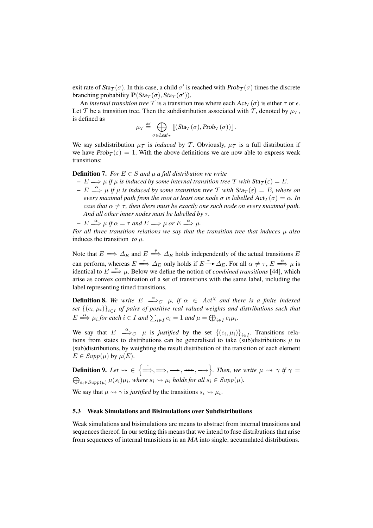exit rate of  $Sta_{\mathcal{T}}(\sigma)$ . In this case, a child  $\sigma'$  is reached with  $Prob_{\mathcal{T}}(\sigma)$  times the discrete branching probability  $P(Sta_{\mathcal{T}}(\sigma), Sta_{\mathcal{T}}(\sigma'))$ .

An *internal transition tree* T is a transition tree where each  $Act_{\mathcal{T}}(\sigma)$  is either  $\tau$  or  $\epsilon$ . Let T be a transition tree. Then the subdistribution associated with T, denoted by  $\mu_T$ , is defined as

$$
\mu_{\mathcal{T}} \stackrel{\text{def}}{=} \bigoplus_{\sigma \in \text{Leaf}_{\mathcal{T}}} \left[ \left( \text{Sta}_{\mathcal{T}}(\sigma), \text{Prob}_{\mathcal{T}}(\sigma) \right) \right].
$$

We say subdistribution  $\mu_{\tau}$  is *induced* by T. Obviously,  $\mu_{\tau}$  is a full distribution if we have  $Prob_\mathcal{T}(\varepsilon)=1$ . With the above definitions we are now able to express weak transitions:

**Definition 7.** *For*  $E \in S$  *and*  $\mu$  *a full distribution we write* 

- $\overline{E} \implies \mu$  *if*  $\mu$  *is induced by some internal transition tree* T *with*  $\text{Sta}_{\mathcal{I}}(\varepsilon) = E$ .
- $E \stackrel{\alpha}{\Longrightarrow} \mu$  *if*  $\mu$  *is induced by some transition tree* T *with*  $\text{Sta}_{\mathcal{T}}(\varepsilon) = E$ *, where on every maximal path from the root at least one node*  $\sigma$  *is labelled*  $Act_{\tau}(\sigma) = \alpha$ . In *case that*  $\alpha \neq \tau$ , then there must be exactly one such node on every maximal path. *And all other inner nodes must be labelled by* τ*.*
- $E \stackrel{\hat{\alpha}}{\Longrightarrow} \mu$  if  $\alpha = \tau$  and  $E \Longrightarrow \mu$  or  $E \stackrel{\alpha}{\Longrightarrow} \mu$ .

*For all three transition relations we say that the transition tree that induces* μ *also* induces the transition *to* μ*.*

Note that  $E \Longrightarrow \Delta_E$  and  $E \stackrel{\hat{\tau}}{\Longrightarrow} \Delta_E$  holds independently of the actual transitions E can perform, whereas  $E \stackrel{\tau}{\Longrightarrow} \Delta_E$  only holds if  $E \stackrel{\tau}{\dashrightarrow} \Delta_E$ . For all  $\alpha \neq \tau$ ,  $E \stackrel{\hat{\alpha}}{\Longrightarrow} \mu$  is identical to  $E \stackrel{\alpha}{\Longrightarrow} \mu$ . Below we define the notion of *combined transitions* [44], which arise as convex combination of a set of transitions with the same label, including the label representing timed transitions.

**Definition 8.** We write  $E \stackrel{\alpha}{\Rightarrow}_C \mu$ , if  $\alpha \in Act^{\chi}$  and there is a finite indexed *set*  $\{(c_i, \mu_i)\}_{i \in I}$  *of pairs of positive real valued weights and distributions such that*  $E \stackrel{\alpha}{\Longrightarrow} \mu_i$  for each  $i \in I$  and  $\sum_{i \in I} c_i = 1$  and  $\mu = \bigoplus_{i \in I} c_i \mu_i$ .

We say that  $E \stackrel{\text{d}}{\Rightarrow}_C \mu$  is *justified* by the set  $\{(c_i, \mu_i)\}_{i \in I}$ . Transitions rela-<br>tions from states to distributions can be generalised to take (sub)distributions u to tions from states to distributions can be generalised to take (sub)distributions  $\mu$  to (sub)distributions, by weighting the result distribution of the transition of each element  $E \in Supp(\mu)$  by  $\mu(E)$ .

**Definition 9.** Let  $\leadsto \in \{\Rightarrow, \Rightarrow, \rightarrow\star, \star\star\star, \longrightarrow\}$ . Then, we write  $\mu \leadsto \gamma$  if  $\gamma =$  $\bigoplus_{s_i \in Supp(\mu)} \mu(s_i) \mu_i$ *, where*  $s_i \leadsto \mu_i$  *holds for all*  $s_i \in Supp(\mu)$ *.* 

We say that  $\mu \rightsquigarrow \gamma$  is *justified* by the transitions  $s_i \rightsquigarrow \mu_i$ .

#### **5.3 Weak Simulations and Bisimulations over Subdistributions**

Weak simulations and bisimulations are means to abstract from internal transitions and sequences thereof. In our setting this means that we intend to fuse distributions that arise from sequences of internal transitions in an MA into single, accumulated distributions.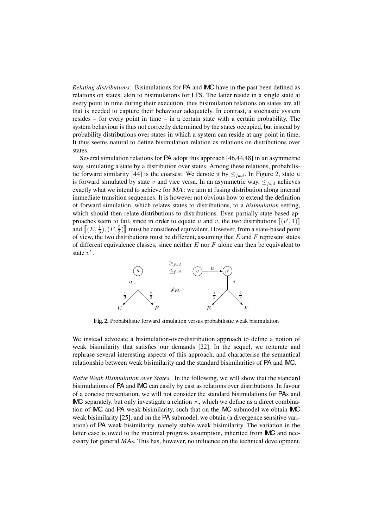*Relating distributions.* Bisimulations for PA and IMC have in the past been defined as relations on states, akin to bisimulations for LTS. The latter reside in a single state at every point in time during their execution, thus bisimulation relations on states are all that is needed to capture their behaviour adequately. In contrast, a stochastic system resides – for every point in time – in a certain state with a certain probability. The system behaviour is thus not correctly determined by the states occupied, but instead by probability distributions over states in which a system can reside at any point in time. It thus seems natural to define bisimulation relation as relations on distributions over states.

Several simulation relations for PA adopt this approach [46,44,48] in an asymmetric way, simulating a state by a distribution over states. Among these relations, probabilistic forward similarity [44] is the coarsest. We denote it by  $\leq_{fwd}$ . In Figure 2, state u is forward simulated by state v and vice versa. In an asymmetric way,  $\leq_{fwd}$  achieves exactly what we intend to achieve for MA: we aim at fusing distribution along internal immediate transition sequences. It is however not obvious how to extend the definition of forward simulation, which relates states to distributions, to a *bisimulation* setting, which should then relate distributions to distributions. Even partially state-based approaches seem to fail, since in order to equate u and v, the two distributions  $[(v', 1)]$ and  $\left[\!\left[(E, \frac{1}{3}), (F, \frac{2}{3})\right]\!\right]$  must be considered equivalent. However, from a state-based point of view, the two distributions must be different, assuming that  $E$  and  $F$  represent states of different equivalence classes, since neither  $E$  nor  $F$  alone can then be equivalent to state  $v'$ .



**Fig. 2.** Probabilistic forward simulation versus probabilistic weak bisimulation

We instead advocate a bisimulation-over-distribution approach to define a notion of weak bisimilarity that satisfies our demands [22]. In the sequel, we reiterate and rephrase several interesting aspects of this approach, and characterise the semantical relationship between weak bisimilarity and the standard bisimilarities of PA and IMC.

*Na¨ıve Weak Bisimulation over States.* In the following, we will show that the standard bisimulations of PA and IMC can easily by cast as relations over distributions. In favour of a concise presentation, we will not consider the standard bisimulations for PAs and **IMC** separately, but only investigate a relation  $\approx$ , which we define as a direct combination of IMC and PA weak bisimilarity, such that on the IMC submodel we obtain IMC weak bisimilarity [25], and on the PA submodel, we obtain (a divergence sensitive variation) of PA weak bisimilarity, namely stable weak bisimilarity. The variation in the latter case is owed to the maximal progress assumption, inherited from IMC and necessary for general MAs. This has, however, no influence on the technical development.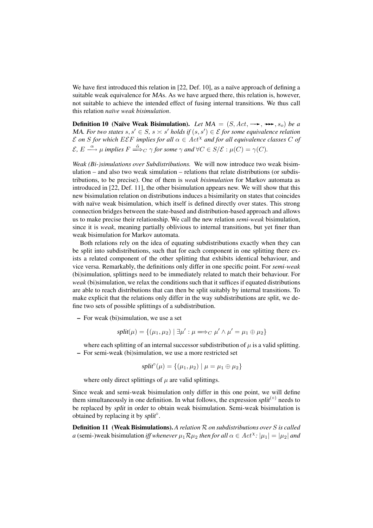We have first introduced this relation in [22, Def. 10], as a naïve approach of defining a suitable weak equivalence for MAs. As we have argued there, this relation is, however, not suitable to achieve the intended effect of fusing internal transitions. We thus call this relation *na¨ıve weak bisimulation*.

**Definition 10** (Naïve Weak Bisimulation). Let  $MA = (S, Act, \rightarrow, \rightarrow, \rightarrow, s_o)$  be a MA. For two states  $s, s' \in S$ ,  $s \times s'$  holds if  $(s, s') \in \mathcal{E}$  for some equivalence relation  $\mathcal E$  *on* S for which EEF implies for all  $\alpha \in \text{Act}^\chi$  and for all equivalence classes C of  $\mathcal{E}, E \stackrel{\alpha}{\longrightarrow} \mu$  *implies*  $F \stackrel{\hat{\alpha}}{\Longrightarrow}_C \gamma$  *for some*  $\gamma$  *and*  $\forall C \in S / \mathcal{E} : \mu(C) = \gamma(C)$ *.* 

*Weak (Bi-)simulations over Subdistributions.* We will now introduce two weak bisimulation – and also two weak simulation – relations that relate distributions (or subdistributions, to be precise). One of them is *weak bisimulation* for Markov automata as introduced in [22, Def. 11], the other bisimulation appears new. We will show that this new bisimulation relation on distributions induces a bisimilarity on states that coincides with naïve weak bisimulation, which itself is defined directly over states. This strong connection bridges between the state-based and distribution-based approach and allows us to make precise their relationship. We call the new relation *semi-weak* bisimulation, since it is *weak*, meaning partially oblivious to internal transitions, but yet finer than weak bisimulation for Markov automata.

Both relations rely on the idea of equating subdistributions exactly when they can be split into subdistributions, such that for each component in one splitting there exists a related component of the other splitting that exhibits identical behaviour, and vice versa. Remarkably, the definitions only differ in one specific point. For *semi-weak* (bi)simulation, splittings need to be immediately related to match their behaviour. For *weak* (bi)simulation, we relax the conditions such that it suffices if equated distributions are able to reach distributions that can then be split suitably by internal transitions. To make explicit that the relations only differ in the way subdistributions are split, we define two sets of possible splittings of a subdistribution.

**–** For weak (bi)simulation, we use a set

$$
split(\mu) = \{(\mu_1, \mu_2) \mid \exists \mu' : \mu \Longrightarrow_C \mu' \land \mu' = \mu_1 \oplus \mu_2\}
$$

where each splitting of an internal successor subdistribution of  $\mu$  is a valid splitting. **–** For semi-weak (bi)simulation, we use a more restricted set

$$
split^{\circ}(\mu) = \{(\mu_1, \mu_2) \mid \mu = \mu_1 \oplus \mu_2\}
$$

where only direct splittings of  $\mu$  are valid splittings.

Since weak and semi-weak bisimulation only differ in this one point, we will define them simultaneously in one definition. In what follows, the expression split<sup>(⊙)</sup> needs to be replaced by split in order to obtain weak bisimulation. Semi-weak bisimulation is obtained by replacing it by *split*<sup>○</sup>.

**Definition 11 (Weak Bisimulations).** *A relation* R *on subdistributions over* S *is called a* (semi-)weak bisimulation *iff whenever*  $\mu_1 \mathcal{R} \mu_2$  *then for all*  $\alpha \in \text{Act}^{\chi}$ :  $|\mu_1| = |\mu_2|$  *and*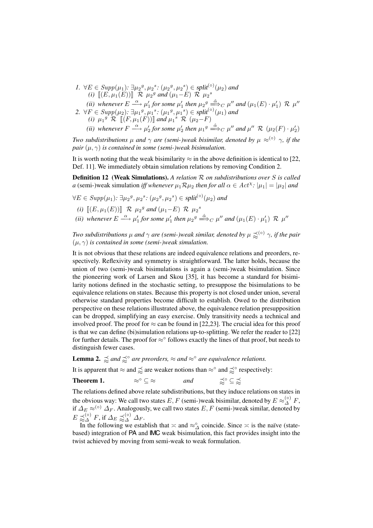- *1.*  $\forall E \in Supp(\mu_1)$ :  $\exists \mu_2^g, \mu_2^s$ :  $(\mu_2^g, \mu_2^s) \in split^{(0)}(\mu_2)$  and (*i*)  $[(E, \mu_1(E))]$   $[\mathcal{R} \mu_2^g \text{ and } (\mu_1 - E) \mathcal{R} \mu_2^g]$ (*ii*) whenever  $E \stackrel{\alpha}{\longrightarrow} \mu'_1$  for some  $\mu'_1$  then  $\mu_2^g \stackrel{\hat{\alpha}}{\Longrightarrow}_C \mu''$  and  $(\mu_1(E) \cdot \mu'_1)$   $\mathcal{R} \mu''$ <br>2.  $\forall F \in Supp(\mu_2): \exists \mu_1^g, \mu_1^s: (\mu_1^g, \mu_1^s) \in split^{(\circ)}(\mu_1)$  and (*i*)  $\mu_1^g$   $\mathcal{R}$   $\left[\left(F, \mu_1(F)\right)\right]$  and  $\mu_1^s$   $\mathcal{R}$   $\left(\mu_2-F\right)$ 
	- (*ii*) whenever  $F \stackrel{\alpha}{\longrightarrow} \mu'_2$  for some  $\mu'_2$  then  $\mu_1^g \stackrel{\hat{\alpha}}{\Longrightarrow}_C \mu''$  and  $\mu'' \mathcal{R} (\mu_2(F) \cdot \mu'_2)$

*Two subdistributions*  $\mu$  *and*  $\gamma$  *are (semi-)weak bisimilar, denoted by*  $\mu \approx (0) \gamma$ *, if the pair*  $(\mu, \gamma)$  *is contained in some (semi-)weak bisimulation.* 

It is worth noting that the weak bisimilarity  $\approx$  in the above definition is identical to [22, Def. 11]. We immediately obtain simulation relations by removing Condition 2.

**Definition 12 (Weak Simulations).** *A relation* R *on subdistributions over* S *is called a* (semi-)weak simulation *iff whenever*  $\mu_1 \mathcal{R} \mu_2$  *then for all*  $\alpha \in Act^{\chi}$ :  $|\mu_1| = |\mu_2|$  *and* 

 $\forall E \in Supp(\mu_1)$ :  $\exists \mu_2{}^g, \mu_2{}^s$ :  $(\mu_2{}^g, \mu_2{}^s) \in split^{(\circ)}(\mu_2)$  and (*i*)  $[(E, \mu_1(E))]$   $[\mathcal{R} \mu_2^g \text{ and } (\mu_1 - E) \mathcal{R} \mu_2^g]$ (*ii*) whenever  $E \stackrel{\alpha}{\longrightarrow} \mu'_1$  for some  $\mu'_1$  then  $\mu_2^g \stackrel{\hat{\alpha}}{\Longrightarrow}_C \mu''$  and  $(\mu_1(E) \cdot \mu'_1) \mathcal{R} \mu''$ 

*Two subdistributions*  $\mu$  *and*  $\gamma$  *are (semi-)weak similar, denoted by*  $\mu \precsim^{(0)} \gamma$ *, if the pair* (μ, γ) *is contained in some (semi-)weak simulation.*

It is not obvious that these relations are indeed equivalence relations and preorders, respectively. Reflexivity and symmetry is straightforward. The latter holds, because the union of two (semi-)weak bisimulations is again a (semi-)weak bisimulation. Since the pioneering work of Larsen and Skou [35], it has become a standard for bisimilarity notions defined in the stochastic setting, to presuppose the bisimulations to be equivalence relations on states. Because this property is not closed under union, several otherwise standard properties become difficult to establish. Owed to the distribution perspective on these relations illustrated above, the equivalence relation presupposition can be dropped, simplifying an easy exercise. Only transitivity needs a technical and involved proof. The proof for  $\approx$  can be found in [22,23]. The crucial idea for this proof is that we can define (bi)simulation relations up-to-splitting. We refer the reader to [22] for further details. The proof for  $\approx$ ° follows exactly the lines of that proof, but needs to distinguish fewer cases.

**Lemma 2.**  $\precsim$  *and*  $\precsim$  *are preorders,*  $\approx$  *and*  $\approx$  *° are equivalence relations.* 

It is apparent that  $\approx$  and  $\precsim$  are weaker notions than  $\approx \circ$  and  $\precsim \circ$  respectively:

**Theorem 1.** 
$$
\approx
$$
  $\subseteq$   $\approx$  and  $\approx$   $\leq$   $\leq$   $\leq$ 

The relations defined above relate subdistributions, but they induce relations on states in the obvious way: We call two states  $E, F$  (semi-)weak bisimilar, denoted by  $E \approx_{\Delta}^{(o)} F$ ,<br>if  $A_E \approx_{\Delta}^{(o)} A_E$ . Analogously, we call two states  $E, F$  (semi-)weak similar, denoted by if  $\Delta_E \approx^{(0)} \Delta_F$ . Analogously, we call two states E, F (semi-)weak similar, denoted by  $E \precsim_{\Delta}^{(0)} F$ , if  $\Delta_E \precsim_{\Delta}^{(0)} \Delta_F$ .<br>In the following we estal

In the following we establish that  $\approx$  and  $\approx^\circ$  coincide. Since  $\approx$  is the naïve (state-<br>sed) integration of **PA** and **MC** weak bisimulation, this fact provides insight into the based) integration of PA and IMC weak bisimulation, this fact provides insight into the twist achieved by moving from semi-weak to weak formulation.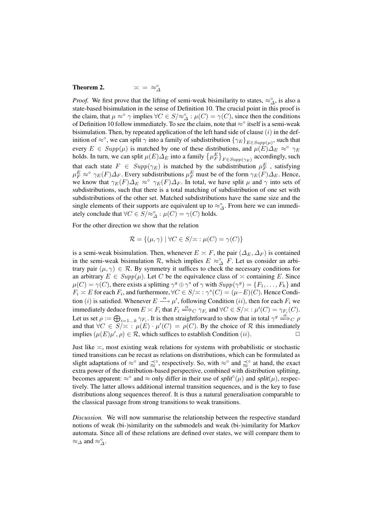### **Theorem 2.**  $\approx$   $\approx$   $\approx$   $\approx$   $\approx$

*Proof.* We first prove that the lifting of semi-weak bisimilarity to states,  $\approx^{\circ}_{\Delta}$ , is also a state based bisimulation in the sense of Definition 10. The crucial point in this proof is state-based bisimulation in the sense of Definition 10. The crucial point in this proof is the claim, that  $\mu \approx \gamma$  implies  $\forall C \in S / \approx \hat{A} : \mu(C) = \gamma(C)$ , since then the conditions of Definition 10 follow immediately. To see the claim, note that  $\approx^{\circ}$  itself is a semi-weak of Definition 10 follow immediately. To see the claim, note that  $\approx \circ$  itself is a semi-weak bisimulation. Then, by repeated application of the left hand side of clause  $(i)$  in the definition of  $\approx$ °, we can split  $\gamma$  into a family of subdistribution  $\{\gamma_E\}_{E \in Supp(\mu)}$ , such that every  $E \in Supp(\mu)$  is matched by one of these distributions, and  $\mu(E)\Delta_E \approx^\circ \gamma_E$ holds. In turn, we can split  $\mu(E) \Delta_E$  into a family  $\{\mu_F^E\}_{F \in Supp(\gamma_E)}$  accordingly, such that each state.  $F \subset S$  and  $(\gamma_E)$  is motional by the split distribution of  $E$  activition that each state  $F \in Supp(\gamma_E)$  is matched by the subdistribution  $\mu_F^E$ , satisfying  $\mu_E^E \sim \gamma_E(F) \Lambda_E$ . Every subdistributions  $\mu_E^E$  must be of the form  $\gamma_E(F) \Lambda_E$ . Hence  $\mu_F^E \approx \gamma_E(F) \Delta_F$ . Every subdistributions  $\mu_F^E$  must be of the form  $\gamma_E(F) \Delta_E$ . Hence, we know that  $\gamma_E(F)\Delta_E \approx \gamma_E(F)\Delta_F$ . In total, we have split  $\mu$  and  $\gamma$  into sets of subdistributions, such that there is a total matching of subdistribution of one set with subdistributions of the other set. Matched subdistributions have the same size and the single elements of their supports are equivalent up to  $\approx_{\Delta}^{\circ}$ . From here we can immedi-<br>ately conclude that  $\forall C \in S/\sim^{\circ} : u(C) = \alpha(C)$  holds ately conclude that  $\forall C \in S / \approx_{\Delta}^{\circ} : \mu(C) = \gamma(C)$  holds.

For the other direction we show that the relation

$$
\mathcal{R} = \{ (\mu, \gamma) \mid \forall C \in S / \asymp : \mu(C) = \gamma(C) \}
$$

is a semi-weak bisimulation. Then, whenever  $E \approx F$ , the pair  $(\Delta_E, \Delta_F)$  is contained in the semi-weak bisimulation R, which implies  $E \approx \stackrel{\circ}{\Delta} F$ . Let us consider an arbi-<br>trary pair  $(\mu, \alpha) \in \mathcal{P}$ . By symmetry it suffices to check the necessary conditions for trary pair  $(\mu, \gamma) \in \mathcal{R}$ . By symmetry it suffices to check the necessary conditions for an arbitrary  $E \in Supp(\mu)$ . Let C be the equivalence class of  $\asymp$  containing E. Since  $\mu(C) = \gamma(C)$ , there exists a splitting  $\gamma^g \oplus \gamma^s$  of  $\gamma$  with  $Supp(\gamma^g) = \{F_1, \ldots, F_k\}$  and  $F_i \times F_i$  for each  $F_i$  and furthermore  $\forall C \in S \land \forall i \in S(C)$ ,  $\mu(F)(C)$  Hence Candi  $F_i \approx E$  for each  $F_i$ , and furthermore,  $\forall C \in S / \approx : \gamma^s(C) = (\mu - E)(C)$ . Hence Condition (*i*) is satisfied. Whenever  $E \xrightarrow{\alpha} \mu'$ , following Condition (*ii*), then for each  $F_i$  we immediately deduce from  $E \asymp F_i$  that  $F_i \xrightarrow{\alpha} C \gamma_{F_i}$  and  $\forall C \in S / \asymp : \mu'(C) = \gamma_{F_i}(C)$ . Let us set  $\rho := \bigoplus_{i=1...k} \gamma_{F_i}$ . It is then straightforward to show that in total  $\gamma^g \stackrel{\alpha}{\Longrightarrow}_C \rho$ <br>and that  $\forall C \in S/\sim \{u(F), u'(C)\} = o(C)$ . By the choice of R this immediately and that  $\forall C \in S / \times : \mu(E) \cdot \mu'(C) = \rho(C)$ . By the choice of R this immediately implies  $(\mu(E)\mu', \rho) \in \mathcal{R}$ , which suffices to establish Condition (*ii*).

Just like  $\approx$ , most existing weak relations for systems with probabilistic or stochastic timed transitions can be recast as relations on distributions, which can be formulated as slight adaptations of  $\approx$ ° and  $\precsim$ °, respectively. So, with  $\approx$ ° and  $\precsim$ ° at hand, the exact extra power of the distribution-based perspective, combined with distribution splitting, becomes apparent:  $\approx$ ° and  $\approx$  only differ in their use of split°( $\mu$ ) and split( $\mu$ ), respectively. The latter allows additional internal transition sequences, and is the key to fuse distributions along sequences thereof. It is thus a natural generalisation comparable to the classical passage from strong transitions to weak transitions.

*Discussion.* We will now summarise the relationship between the respective standard notions of weak (bi-)similarity on the submodels and weak (bi-)similarity for Markov automata. Since all of these relations are defined over states, we will compare them to  $\approx_{\Delta}$  and  $\approx_{\Delta}^{\circ}$ .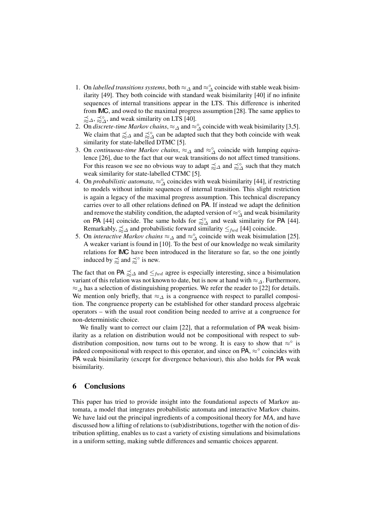- 1. On *labelled transitions systems*, both  $\approx_{\Delta}$  and  $\approx_{\Delta}^{\circ}$  coincide with stable weak bisimilarity [40] They both coincide with standard weak bisimilarity [40] if no infinite ilarity [49]. They both coincide with standard weak bisimilarity [40] if no infinite sequences of internal transitions appear in the LTS. This difference is inherited from IMC, and owed to the maximal progress assumption [28]. The same applies to  $\approx \approx \Delta$ ,  $\approx \approx$ , and weak similarity on LTS [40].<br>On discrete-time Markov chains  $\approx \approx$  and  $\approx$
- 2. On *discrete-time Markov chains*,  $\approx_{\Delta}$  and  $\approx_{\Delta}^{\circ}$  coincide with weak bisimilarity [3,5].<br>We claim that  $\preceq_{\Delta}$  and  $\preceq_{\Delta}^{\circ}$  can be adapted such that they both coincide with weak We claim that  $\precsim_{\Delta} \Delta$  and  $\precsim_{\Delta}^{\infty}$  can be adapted such that they both coincide with weak<br>similarity for state-labelled DTMC [5] similarity for state-labelled DTMC [5].
- 3. On *continuous-time Markov chains*,  $\approx_{\Delta}$  and  $\approx_{\Delta}^{\circ}$  coincide with lumping equiva-<br>lence [26] due to the fact that our weak transitions do not affect timed transitions. lence [26], due to the fact that our weak transitions do not affect timed transitions. For this reason we see no obvious way to adapt  $\precsim_{\Delta}$  and  $\precsim_{\Delta}^{\infty}$  such that they match weak similarity for state-labelled CTMC [5]. weak similarity for state-labelled CTMC [5].
- 4. On *probabilistic automata*,  $\approx^{\circ}_{\alpha}$  coincides with weak bisimilarity [44], if restricting to models without infinite sequences of internal transition. This slight restriction to models without infinite sequences of internal transition. This slight restriction is again a legacy of the maximal progress assumption. This technical discrepancy carries over to all other relations defined on PA. If instead we adapt the definition and remove the stability condition, the adapted version of  $\approx^{\circ}_{\alpha}$  and weak bisimilarity<br>on **PA** 1441 coincide. The same holds for  $\preceq^{\circ}$  and weak similarity for **PA** 1441 on PA [44] coincide. The same holds for  $\approx \frac{1}{2}$  and weak similarity for PA [44].<br>Remarkably  $\preceq$  and probabilistic forward similarity  $\leq c$ . [44] coincide Remarkably,  $\lesssim_{\Delta}$  and probabilistic forward similarity  $\leq_{fwd}$  [44] coincide.<br>On interactive Markov chains  $\approx$  and  $\approx^{\circ}$  coincide with weak bisimulation
- 5. On *interactive Markov chains*  $\approx_{\Delta}$  and  $\approx_{\Delta}^{\circ}$  coincide with weak bisimulation [25].<br>A weaker variant is found in [10]. To the best of our knowledge no weak similarity. A weaker variant is found in [10]. To the best of our knowledge no weak similarity relations for IMC have been introduced in the literature so far, so the one jointly induced by  $\precsim$  and  $\precsim$ ° is new.

The fact that on PA  $\precsim_{\Delta}$  and  $\leq_{fwd}$  agree is especially interesting, since a bisimulation vector of this relation was not known to data by it is near that with  $\alpha$ . Furthermore, variant of this relation was not known to date, but is now at hand with  $\approx_{\Delta}$ . Furthermore,  $\approx_{\Delta}$  has a selection of distinguishing properties. We refer the reader to [22] for details. We mention only briefly, that  $\approx_{\Delta}$  is a congruence with respect to parallel composition. The congruence property can be established for other standard process algebraic operators – with the usual root condition being needed to arrive at a congruence for non-deterministic choice.

We finally want to correct our claim [22], that a reformulation of PA weak bisimilarity as a relation on distribution would not be compositional with respect to subdistribution composition, now turns out to be wrong. It is easy to show that  $\approx \circ$  is indeed compositional with respect to this operator, and since on PA,  $\approx^\circ$  coincides with PA weak bisimilarity (except for divergence behaviour), this also holds for PA weak bisimilarity.

#### **6 Conclusions**

This paper has tried to provide insight into the foundational aspects of Markov automata, a model that integrates probabilistic automata and interactive Markov chains. We have laid out the principal ingredients of a compositional theory for MA, and have discussed how a lifting of relations to (sub)distributions, together with the notion of distribution splitting, enables us to cast a variety of existing simulations and bisimulations in a uniform setting, making subtle differences and semantic choices apparent.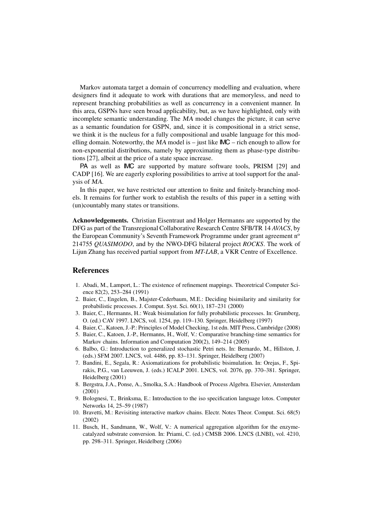Markov automata target a domain of concurrency modelling and evaluation, where designers find it adequate to work with durations that are memoryless, and need to represent branching probabilities as well as concurrency in a convenient manner. In this area, GSPNs have seen broad applicability, but, as we have highlighted, only with incomplete semantic understanding. The MA model changes the picture, it can serve as a semantic foundation for GSPN, and, since it is compositional in a strict sense, we think it is the nucleus for a fully compositional and usable language for this modelling domain. Noteworthy, the MA model is – just like  $IMC$  – rich enough to allow for non-exponential distributions, namely by approximating them as phase-type distributions [27], albeit at the price of a state space increase.

PA as well as IMC are supported by mature software tools, PRISM [29] and CADP [16]. We are eagerly exploring possibilities to arrive at tool support for the analysis of MA.

In this paper, we have restricted our attention to finite and finitely-branching models. It remains for further work to establish the results of this paper in a setting with (un)countably many states or transitions.

**Acknowledgements.** Christian Eisentraut and Holger Hermanns are supported by the DFG as part of the Transregional Collaborative Research Centre SFB/TR 14 *AVACS*, by the European Community's Seventh Framework Programme under grant agreement n<sup>o</sup> 214755 *QUASIMODO*, and by the NWO-DFG bilateral project *ROCKS*. The work of Lijun Zhang has received partial support from *MT-LAB*, a VKR Centre of Excellence.

#### **References**

- 1. Abadi, M., Lamport, L.: The existence of refinement mappings. Theoretrical Computer Science 82(2), 253–284 (1991)
- 2. Baier, C., Engelen, B., Majster-Cederbaum, M.E.: Deciding bisimilarity and similarity for probabilistic processes. J. Comput. Syst. Sci. 60(1), 187–231 (2000)
- 3. Baier, C., Hermanns, H.: Weak bisimulation for fully probabilistic processes. In: Grumberg, O. (ed.) CAV 1997. LNCS, vol. 1254, pp. 119–130. Springer, Heidelberg (1997)
- 4. Baier, C., Katoen, J.-P.: Principles of Model Checking, 1st edn. MIT Press, Cambridge (2008) 5. Baier, C., Katoen, J.-P., Hermanns, H., Wolf, V.: Comparative branching-time semantics for
- Markov chains. Information and Computation 200(2), 149–214 (2005)
- 6. Balbo, G.: Introduction to generalized stochastic Petri nets. In: Bernardo, M., Hillston, J. (eds.) SFM 2007. LNCS, vol. 4486, pp. 83–131. Springer, Heidelberg (2007)
- 7. Bandini, E., Segala, R.: Axiomatizations for probabilistic bisimulation. In: Orejas, F., Spirakis, P.G., van Leeuwen, J. (eds.) ICALP 2001. LNCS, vol. 2076, pp. 370–381. Springer, Heidelberg (2001)
- 8. Bergstra, J.A., Ponse, A., Smolka, S.A.: Handbook of Process Algebra. Elsevier, Amsterdam (2001)
- 9. Bolognesi, T., Brinksma, E.: Introduction to the iso specification language lotos. Computer Networks 14, 25–59 (1987)
- 10. Bravetti, M.: Revisiting interactive markov chains. Electr. Notes Theor. Comput. Sci. 68(5) (2002)
- 11. Busch, H., Sandmann, W., Wolf, V.: A numerical aggregation algorithm for the enzymecatalyzed substrate conversion. In: Priami, C. (ed.) CMSB 2006. LNCS (LNBI), vol. 4210, pp. 298–311. Springer, Heidelberg (2006)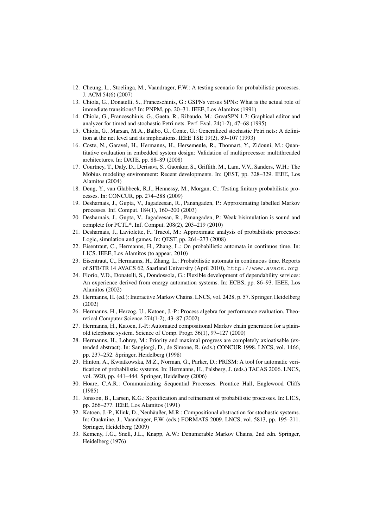- 12. Cheung, L., Stoelinga, M., Vaandrager, F.W.: A testing scenario for probabilistic processes. J. ACM 54(6) (2007)
- 13. Chiola, G., Donatelli, S., Franceschinis, G.: GSPNs versus SPNs: What is the actual role of immediate transitions? In: PNPM, pp. 20–31. IEEE, Los Alamitos (1991)
- 14. Chiola, G., Franceschinis, G., Gaeta, R., Ribaudo, M.: GreatSPN 1.7: Graphical editor and analyzer for timed and stochastic Petri nets. Perf. Eval. 24(1-2), 47–68 (1995)
- 15. Chiola, G., Marsan, M.A., Balbo, G., Conte, G.: Generalized stochastic Petri nets: A definition at the net level and its implications. IEEE TSE 19(2), 89–107 (1993)
- 16. Coste, N., Garavel, H., Hermanns, H., Hersemeule, R., Thonnart, Y., Zidouni, M.: Quantitative evaluation in embedded system design: Validation of multiprocessor multithreaded architectures. In: DATE, pp. 88–89 (2008)
- 17. Courtney, T., Daly, D., Derisavi, S., Gaonkar, S., Griffith, M., Lam, V.V., Sanders, W.H.: The Möbius modeling environment: Recent developments. In: QEST, pp. 328-329. IEEE, Los Alamitos (2004)
- 18. Deng, Y., van Glabbeek, R.J., Hennessy, M., Morgan, C.: Testing finitary probabilistic processes. In: CONCUR, pp. 274–288 (2009)
- 19. Desharnais, J., Gupta, V., Jagadeesan, R., Panangaden, P.: Approximating labelled Markov processes. Inf. Comput. 184(1), 160–200 (2003)
- 20. Desharnais, J., Gupta, V., Jagadeesan, R., Panangaden, P.: Weak bisimulation is sound and complete for PCTL\*. Inf. Comput. 208(2), 203–219 (2010)
- 21. Desharnais, J., Laviolette, F., Tracol, M.: Approximate analysis of probabilistic processes: Logic, simulation and games. In: QEST, pp. 264–273 (2008)
- 22. Eisentraut, C., Hermanns, H., Zhang, L.: On probabilistic automata in continuos time. In: LICS. IEEE, Los Alamitos (to appear, 2010)
- 23. Eisentraut, C., Hermanns, H., Zhang, L.: Probabilistic automata in continuous time. Reports of SFB/TR 14 AVACS 62, Saarland University (April 2010), http://www.avacs.org
- 24. Florio, V.D., Donatelli, S., Dondossola, G.: Flexible development of dependability services: An experience derived from energy automation systems. In: ECBS, pp. 86–93. IEEE, Los Alamitos (2002)
- 25. Hermanns, H. (ed.): Interactive Markov Chains. LNCS, vol. 2428, p. 57. Springer, Heidelberg (2002)
- 26. Hermanns, H., Herzog, U., Katoen, J.-P.: Process algebra for performance evaluation. Theoretical Computer Science 274(1-2), 43–87 (2002)
- 27. Hermanns, H., Katoen, J.-P.: Automated compositional Markov chain generation for a plainold telephone system. Science of Comp. Progr. 36(1), 97–127 (2000)
- 28. Hermanns, H., Lohrey, M.: Priority and maximal progress are completely axioatisable (extended abstract). In: Sangiorgi, D., de Simone, R. (eds.) CONCUR 1998. LNCS, vol. 1466, pp. 237–252. Springer, Heidelberg (1998)
- 29. Hinton, A., Kwiatkowska, M.Z., Norman, G., Parker, D.: PRISM: A tool for automatic verification of probabilistic systems. In: Hermanns, H., Palsberg, J. (eds.) TACAS 2006. LNCS, vol. 3920, pp. 441–444. Springer, Heidelberg (2006)
- 30. Hoare, C.A.R.: Communicating Sequential Processes. Prentice Hall, Englewood Cliffs (1985)
- 31. Jonsson, B., Larsen, K.G.: Specification and refinement of probabilistic processes. In: LICS, pp. 266–277. IEEE, Los Alamitos (1991)
- 32. Katoen, J.-P., Klink, D., Neuhäußer, M.R.: Compositional abstraction for stochastic systems. In: Ouaknine, J., Vaandrager, F.W. (eds.) FORMATS 2009. LNCS, vol. 5813, pp. 195–211. Springer, Heidelberg (2009)
- 33. Kemeny, J.G., Snell, J.L., Knapp, A.W.: Denumerable Markov Chains, 2nd edn. Springer, Heidelberg (1976)